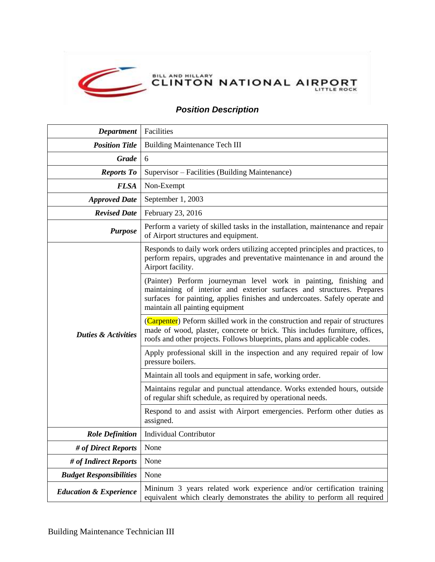

## *Position Description*

| <b>Department</b>                 | Facilities                                                                                                                                                                                                                                                     |
|-----------------------------------|----------------------------------------------------------------------------------------------------------------------------------------------------------------------------------------------------------------------------------------------------------------|
| <b>Position Title</b>             | <b>Building Maintenance Tech III</b>                                                                                                                                                                                                                           |
| <b>Grade</b>                      | 6                                                                                                                                                                                                                                                              |
| <b>Reports To</b>                 | Supervisor – Facilities (Building Maintenance)                                                                                                                                                                                                                 |
| <b>FLSA</b>                       | Non-Exempt                                                                                                                                                                                                                                                     |
| <b>Approved Date</b>              | September 1, 2003                                                                                                                                                                                                                                              |
| <b>Revised Date</b>               | February 23, 2016                                                                                                                                                                                                                                              |
| <b>Purpose</b>                    | Perform a variety of skilled tasks in the installation, maintenance and repair<br>of Airport structures and equipment.                                                                                                                                         |
| <b>Duties &amp; Activities</b>    | Responds to daily work orders utilizing accepted principles and practices, to<br>perform repairs, upgrades and preventative maintenance in and around the<br>Airport facility.                                                                                 |
|                                   | (Painter) Perform journeyman level work in painting, finishing and<br>maintaining of interior and exterior surfaces and structures. Prepares<br>surfaces for painting, applies finishes and undercoates. Safely operate and<br>maintain all painting equipment |
|                                   | (Carpenter) Peform skilled work in the construction and repair of structures<br>made of wood, plaster, concrete or brick. This includes furniture, offices,<br>roofs and other projects. Follows blueprints, plans and applicable codes.                       |
|                                   | Apply professional skill in the inspection and any required repair of low<br>pressure boilers.                                                                                                                                                                 |
|                                   | Maintain all tools and equipment in safe, working order.                                                                                                                                                                                                       |
|                                   | Maintains regular and punctual attendance. Works extended hours, outside<br>of regular shift schedule, as required by operational needs.                                                                                                                       |
|                                   | Respond to and assist with Airport emergencies. Perform other duties as<br>assigned.                                                                                                                                                                           |
| <b>Role Definition</b>            | <b>Individual Contributor</b>                                                                                                                                                                                                                                  |
| # of Direct Reports               | None                                                                                                                                                                                                                                                           |
| # of Indirect Reports             | None                                                                                                                                                                                                                                                           |
| <b>Budget Responsibilities</b>    | None                                                                                                                                                                                                                                                           |
| <b>Education &amp; Experience</b> | Mininum 3 years related work experience and/or certification training<br>equivalent which clearly demonstrates the ability to perform all required                                                                                                             |